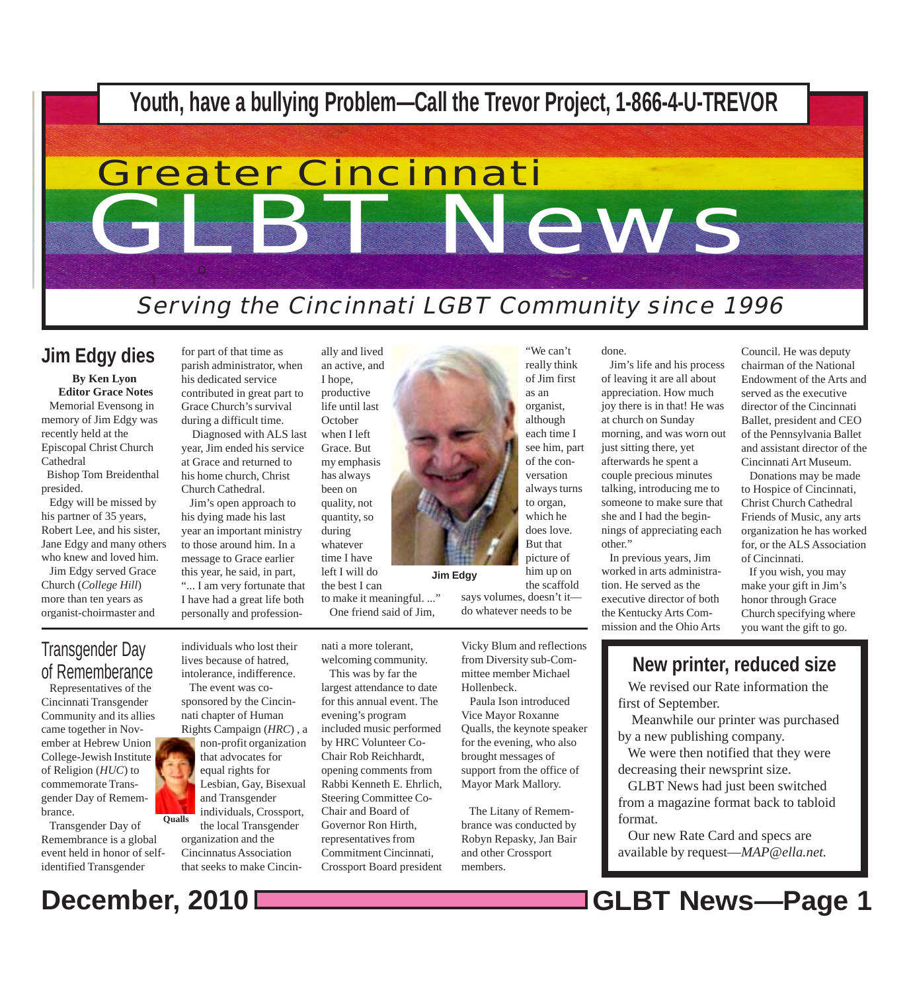

**Jim Edgy**

## **Jim Edgy dies** for part of that time as

**By Ken Lyon Editor Grace Notes** Memorial Evensong in memory of Jim Edgy was recently held at the Episcopal Christ Church Cathedral

 Bishop Tom Breidenthal presided.

 Edgy will be missed by his partner of 35 years, Robert Lee, and his sister, Jane Edgy and many others who knew and loved him.

 Jim Edgy served Grace Church (*College Hill*) more than ten years as organist-choirmaster and

parish administrator, when his dedicated service contributed in great part to Grace Church's survival during a difficult time.

 Diagnosed with ALS last year, Jim ended his service at Grace and returned to his home church, Christ Church Cathedral.

 Jim's open approach to his dying made his last year an important ministry to those around him. In a message to Grace earlier this year, he said, in part, "... I am very fortunate that I have had a great life both personally and profession-

an active, and I hope, productive life until last **October** when I left Grace. But my emphasis has always been on quality, not quantity, so during whatever time I have left I will do the best I can

ally and lived

to make it meaningful. ..." One friend said of Jim,

nati a more tolerant, welcoming community.

> This was by far the largest attendance to date for this annual event. The evening's program included music performed by HRC Volunteer Co-Chair Rob Reichhardt, opening comments from Rabbi Kenneth E. Ehrlich, Steering Committee Co-Chair and Board of Governor Ron Hirth, representatives from Commitment Cincinnati, Crossport Board president

"We can't really think of Jim first as an organist, although each time I see him, part of the conversation always turns to organ, which he does love. But that picture of him up on the scaffold says volumes, doesn't it do whatever needs to be

done.

 Jim's life and his process of leaving it are all about appreciation. How much joy there is in that! He was at church on Sunday morning, and was worn out just sitting there, yet afterwards he spent a couple precious minutes talking, introducing me to someone to make sure that she and I had the beginnings of appreciating each other."

 In previous years, Jim worked in arts administration. He served as the executive director of both the Kentucky Arts Commission and the Ohio Arts

Council. He was deputy chairman of the National Endowment of the Arts and served as the executive director of the Cincinnati Ballet, president and CEO of the Pennsylvania Ballet and assistant director of the Cincinnati Art Museum.

 Donations may be made to Hospice of Cincinnati, Christ Church Cathedral Friends of Music, any arts organization he has worked for, or the ALS Association of Cincinnati.

 If you wish, you may make your gift in Jim's honor through Grace Church specifying where you want the gift to go.

### Transgender Day of Rememberance

 Representatives of the Cincinnati Transgender Community and its allies came together in November at Hebrew Union College-Jewish Institute of Religion (*HUC*) to commemorate Transgender Day of Remembrance.

 Transgender Day of Remembrance is a global event held in honor of selfidentified Transgender

individuals who lost their lives because of hatred, intolerance, indifference. The event was co-

sponsored by the Cincinnati chapter of Human Rights Campaign (*HRC*) , a

**Qualls** non-profit organization that advocates for equal rights for Lesbian, Gay, Bisexual and Transgender individuals, Crossport, the local Transgender organization and the Cincinnatus Association

that seeks to make Cincin-

Vicky Blum and reflections from Diversity sub-Committee member Michael Hollenbeck.

 Paula Ison introduced Vice Mayor Roxanne Qualls, the keynote speaker for the evening, who also brought messages of support from the office of Mayor Mark Mallory.

 The Litany of Remembrance was conducted by Robyn Repasky, Jan Bair and other Crossport members.

## **New printer, reduced size**

 We revised our Rate information the first of September.

 Meanwhile our printer was purchased by a new publishing company.

 We were then notified that they were decreasing their newsprint size.

 GLBT News had just been switched from a magazine format back to tabloid format.

 Our new Rate Card and specs are available by request—*MAP@ella.net.*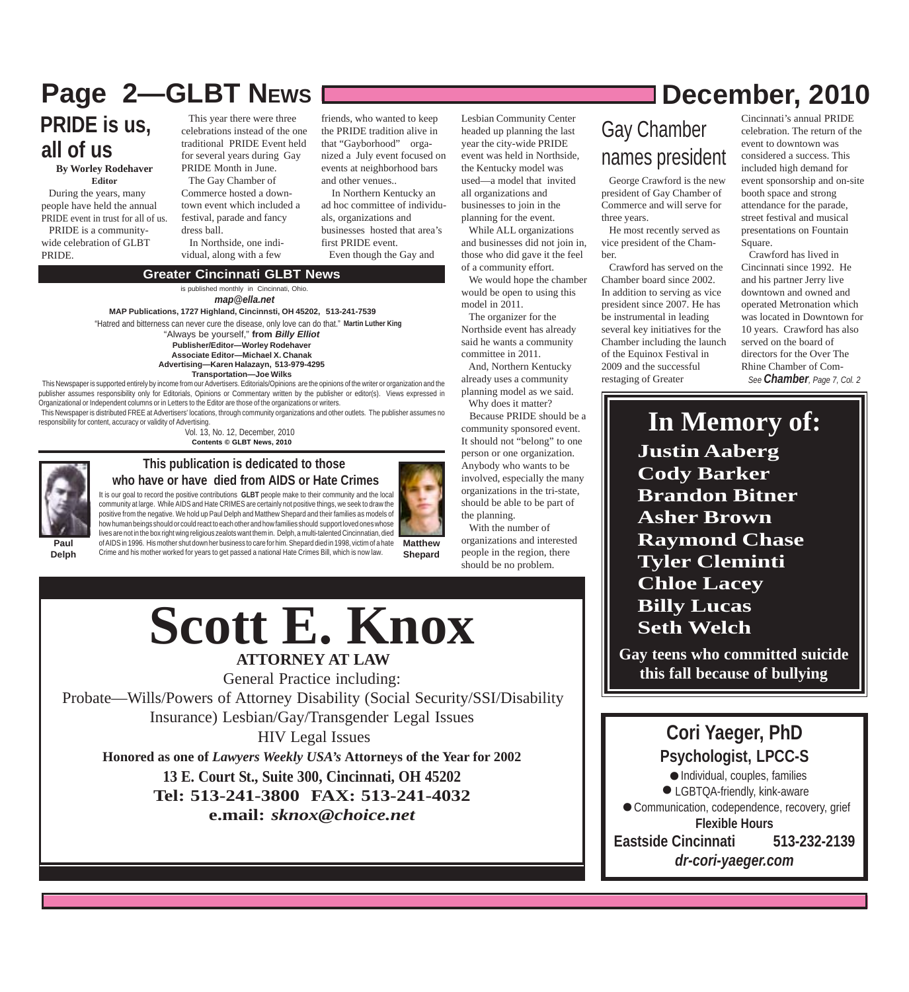## **Page 2––GLBT NEWS December, 2010**

**PRIDE is us, all of us**

**By Worley Rodehaver Editor**

 During the years, many people have held the annual PRIDE event in trust for all of us. PRIDE is a communitywide celebration of GLBT PRIDE.

 This year there were three celebrations instead of the one traditional PRIDE Event held for several years during Gay PRIDE Month in June. The Gay Chamber of Commerce hosted a downtown event which included a festival, parade and fancy

dress ball. In Northside, one individual, along with a few

friends, who wanted to keep the PRIDE tradition alive in that "Gayborhood" organized a July event focused on events at neighborhood bars and other venues..

Lesbian Community Center headed up planning the last year the city-wide PRIDE event was held in Northside, the Kentucky model was used—a model that invited all organizations and businesses to join in the planning for the event. While ALL organizations and businesses did not join in, those who did gave it the feel of a community effort.

 We would hope the chamber would be open to using this

model in 2011.

the planning.

With the number of

 The organizer for the Northside event has already said he wants a community committee in 2011. And, Northern Kentucky already uses a community planning model as we said. Why does it matter? Because PRIDE should be a community sponsored event. It should not "belong" to one person or one organization. Anybody who wants to be involved, especially the many organizations in the tri-state, should be able to be part of

 In Northern Kentucky an ad hoc committee of individuals, organizations and businesses hosted that area's first PRIDE event. Even though the Gay and

### **Greater Cincinnati GLBT News**

is published monthly in Cincinnati, Ohio. *map@ella.net*

**MAP Publications, 1727 Highland, Cincinnsti, OH 45202, 513-241-7539**

"Hatred and bitterness can never cure the disease, only love can do that." **Martin Luther King**

"Always be yourself," **from** *Billy Elliot* **Publisher/Editor—Worley Rodehaver Associate Editor—Michael X. Chanak**

**Advertising—Karen Halazayn, 513-979-4295 Transportation—Joe Wilks**

 This Newspaper is supported entirely by income from our Advertisers. Editorials/Opinions are the opinions of the writer or organization and the publisher assumes responsibility only for Editorials, Opinions or Commentary written by the publisher or editor(s). Views expressed in .<br>Organizational or Independent columns or in Letters to the Editor are those of the organizations or writers.

 This Newspaper is distributed FREE at Advertisers' locations, through community organizations and other outlets. The publisher assumes no responsibility for content, accuracy or validity of Advertising.

Vol. 13, No. 12, December, 2010 **Contents © GLBT News, 2010**



#### **This publication is dedicated to those who have or have died from AIDS or Hate Crimes**

It is our goal to record the positive contributions **GLBT** people make to their community and the local community at large. While AIDS and Hate CRIMES are certainly not positive things, we seek to draw the positive from the negative. We hold up Paul Delph and Matthew Shepard and their families as models of how human beings should or could react to each other and how families should support loved ones whose lives are not in the box right wing religious zealots want them in. Delph, a multi-talented Cincinnatian, died of AIDS in 1996. His mother shut down her business to care for him. Shepard died in 1998, victim of a hate Crime and his mother worked for years to get passed a national Hate Crimes Bill, which is now law.

**Paul Delph**

**Scott E. Knox** I seth Welch

**ATTORNEY AT LAW**

General Practice including: Probate—Wills/Powers of Attorney Disability (Social Security/SSI/Disability Insurance) Lesbian/Gay/Transgender Legal Issues

 HIV Legal Issues **Honored as one of** *Lawyers Weekly USA's* **Attorneys of the Year for 2002 13 E. Court St., Suite 300, Cincinnati, OH 45202 Tel: 513-241-3800 FAX: 513-241-4032 e.mail:** *sknox@choice.net*

Gay Chamber names president

 George Crawford is the new president of Gay Chamber of Commerce and will serve for three years.

 He most recently served as vice president of the Chamber.

 Crawford has served on the Chamber board since 2002. In addition to serving as vice president since 2007. He has be instrumental in leading several key initiatives for the Chamber including the launch of the Equinox Festival in 2009 and the successful restaging of Greater

Cincinnati's annual PRIDE celebration. The return of the event to downtown was considered a success. This included high demand for event sponsorship and on-site booth space and strong attendance for the parade, street festival and musical presentations on Fountain Square.

 Crawford has lived in Cincinnati since 1992. He and his partner Jerry live downtown and owned and operated Metronation which was located in Downtown for 10 years. Crawford has also served on the board of directors for the Over The Rhine Chamber of Com-*See Chamber, Page 7, Col. 2*

**Justin Aaberg Cody Barker Brandon Bitner Asher Brown Raymond Chase Tyler Cleminti Chloe Lacey In Memory of:**

**Gay teens who committed suicide this fall because of bullying**

## **Cori Yaeger, PhD**<br> **Sychologist, LPCC-9**<br>
• Individual, couples, familie:<br>
• LGBTOA friendly, kink-awar **Psychologist, LPCC-S**

 Individual, couples, families LGBTQA-friendly, kink-aware Communication, codependence, recovery, grief **Flexible Hours Eastside Cincinnati 513-232-2139** *dr-cori-yaeger.com*  $\overline{P}$ .

## **Matthew**

**Shepard** organizations and interested people in the region, there should be no problem.

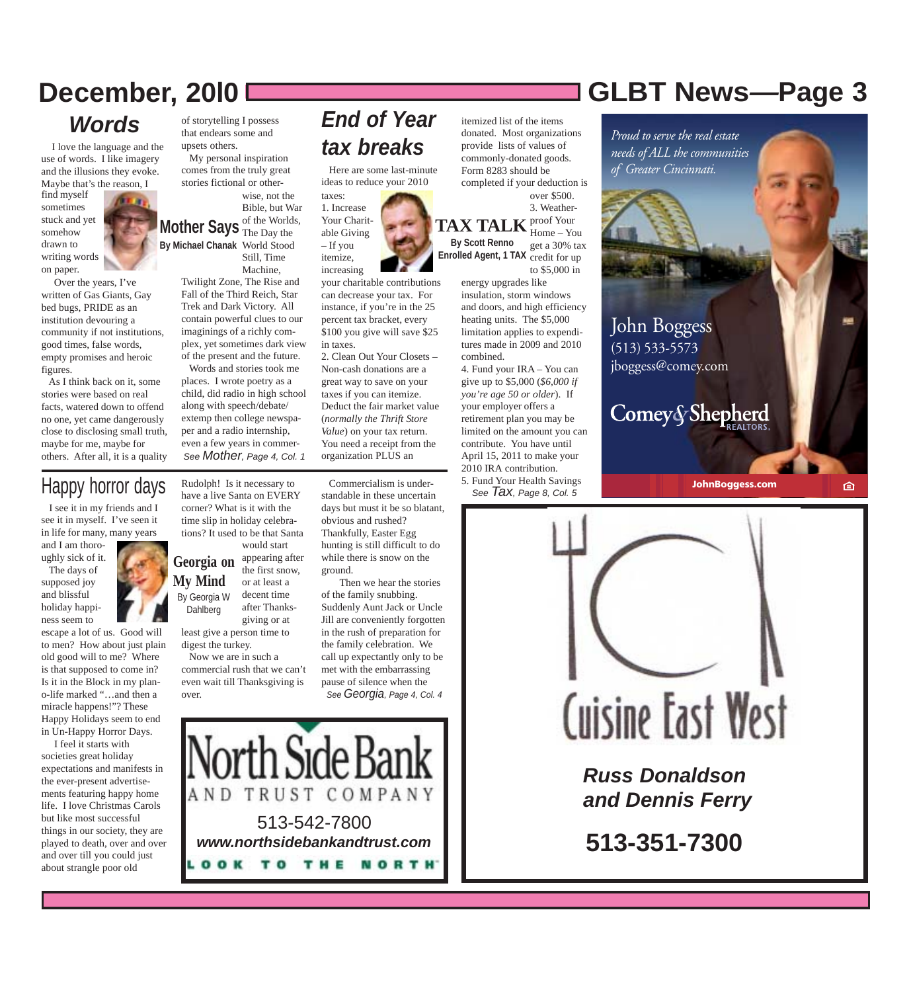## *Words*

 I love the language and the use of words. I like imagery and the illusions they evoke. Maybe that's the reason, I

find myself sometimes stuck and yet somehow drawn to writing words on paper.

 Over the years, I've written of Gas Giants, Gay bed bugs, PRIDE as an institution devouring a community if not institutions, good times, false words, empty promises and heroic figures.

 As I think back on it, some stories were based on real facts, watered down to offend no one, yet came dangerously close to disclosing small truth, maybe for me, maybe for others. After all, it is a quality

## Happy horror days

 I see it in my friends and I see it in myself. I've seen it in life for many, many years

and I am thoroughly sick of it. The days of supposed joy and blissful holiday happi-

ness seem to

escape a lot of us. Good will to men? How about just plain old good will to me? Where is that supposed to come in? Is it in the Block in my plano-life marked "…and then a miracle happens!"? These Happy Holidays seem to end in Un-Happy Horror Days.

 I feel it starts with societies great holiday expectations and manifests in the ever-present advertisements featuring happy home life. I love Christmas Carols but like most successful things in our society, they are played to death, over and over and over till you could just about strangle poor old

of storytelling I possess that endears some and upsets others.

 My personal inspiration comes from the truly great stories fictional or other-

**Mother Says** of the Worlds, **By Michael Chanak** World Stood wise, not the Bible, but War The Day the Still, Time Machine,

Twilight Zone, The Rise and Fall of the Third Reich, Star Trek and Dark Victory. All contain powerful clues to our imaginings of a richly complex, yet sometimes dark view of the present and the future. Words and stories took me

places. I wrote poetry as a child, did radio in high school along with speech/debate/ extemp then college newspaper and a radio internship, even a few years in commer-*See Mother, Page 4, Col. 1*

Rudolph! Is it necessary to have a live Santa on EVERY corner? What is it with the time slip in holiday celebrations? It used to be that Santa

Georgia on appearing after **My Mind** By Georgia W Dahlberg would start the first snow, or at least a decent time after Thanksgiving or at

least give a person time to digest the turkey. Now we are in such a

commercial rush that we can't even wait till Thanksgiving is over.

## *End of Year tax breaks*

Here are some last-minute

taxes: 1. Increase Your Charitable Giving – If you itemize, increasing

your charitable contributions can decrease your tax. For instance, if you're in the 25 percent tax bracket, every \$100 you give will save \$25 in taxes. 2. Clean Out Your Closets –

Non-cash donations are a great way to save on your taxes if you can itemize. Deduct the fair market value (*normally the Thrift Store Value*) on your tax return. You need a receipt from the organization PLUS an

 Commercialism is understandable in these uncertain days but must it be so blatant, obvious and rushed? Thankfully, Easter Egg hunting is still difficult to do while there is snow on the ground.

 Then we hear the stories of the family snubbing. Suddenly Aunt Jack or Uncle Jill are conveniently forgotten in the rush of preparation for the family celebration. We call up expectantly only to be met with the embarrassing pause of silence when the *See Georgia, Page 4, Col. 4*

TRUST COMPANY AND 513-542-7800 *www.northsidebankandtrust.com* OOK TO THE NORTH'

#### itemized list of the items donated. Most organizations provide lists of values of commonly-donated goods. Form 8283 should be completed if your deduction is

**TAX TALK** Proof Your **By Scott Renno Enrolled Agent, 1 TAX** credit for up over \$500. 3. Weather-Home – You get a 30% tax

> to \$5,000 in energy upgrades like insulation, storm windows and doors, and high efficiency heating units. The \$5,000 limitation applies to expenditures made in 2009 and 2010 combined.

4. Fund your IRA – You can give up to \$5,000 (*\$6,000 if you're age 50 or older*). If your employer offers a retirement plan you may be limited on the amount you can contribute. You have until April 15, 2011 to make your 2010 IRA contribution.

5. Fund Your Health Savings *See Tax, Page 8, Col. 5*



*Proud to serve the real estate needs of ALL the communities of Greater Cincinnati.*

John Boggess (513) 533-5573 jboggess@comey.com

Comey&Shepherd

**JohnBoggess.com**





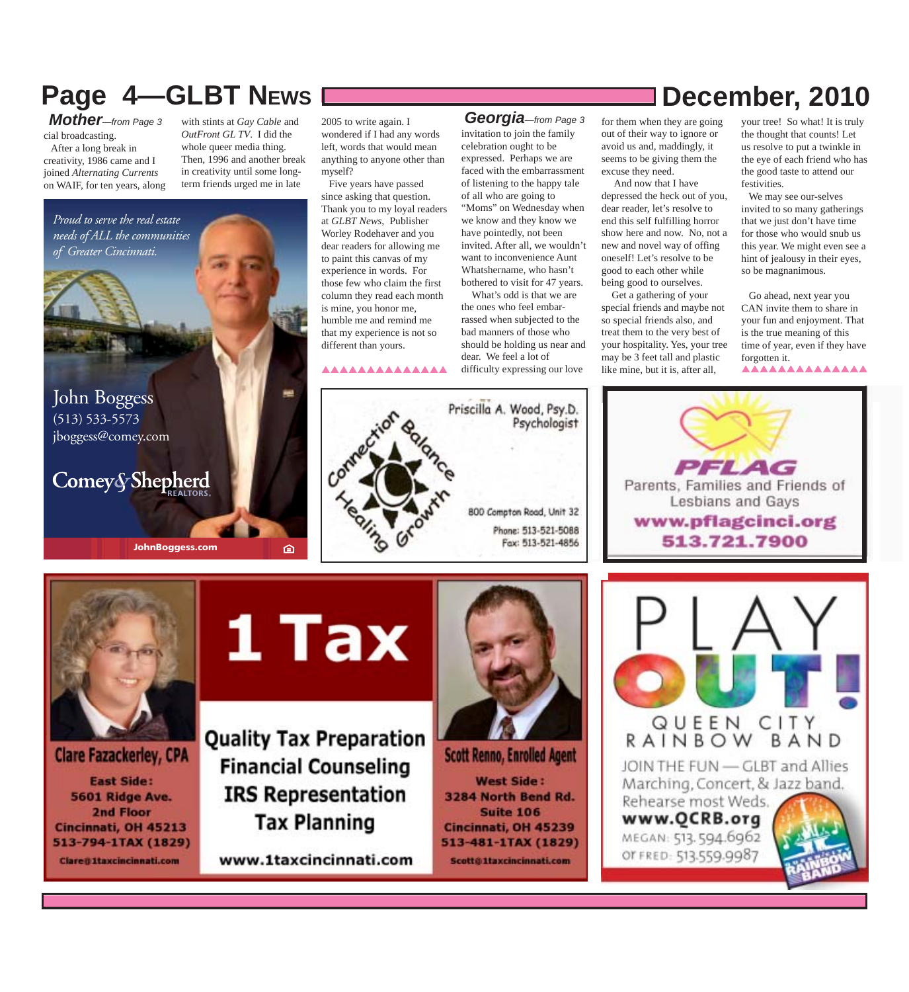## **Page 4–GLBT NEWS December, 2010**

cial broadcasting. After a long break in

creativity, 1986 came and I joined *Alternating Currents* on WAIF, for ten years, along

with stints at *Gay Cable* and *OutFront GL TV*. I did the whole queer media thing. Then, 1996 and another break in creativity until some longterm friends urged me in late

John Boggess *Proud to serve the real estate needs of ALL the communities of Greater Cincinnati.*

(513) 533-5573 jboggess@comey.com

## Comey&Shepherd

**JohnBoggess.com**

2005 to write again. I wondered if I had any words left, words that would mean anything to anyone other than myself? *Mother*—from Page 3 with stints at Gay Cable and 2005 to write again. I **Georgia**—from Page 3

 Five years have passed since asking that question. Thank you to my loyal readers at *GLBT News*, Publisher Worley Rodehaver and you dear readers for allowing me to paint this canvas of my experience in words. For those few who claim the first column they read each month is mine, you honor me, humble me and remind me that my experience is not so different than yours.

#### **AAAAAAAAAAAA**

invitation to join the family celebration ought to be expressed. Perhaps we are faced with the embarrassment of listening to the happy tale of all who are going to "Moms" on Wednesday when we know and they know we

have pointedly, not been invited. After all, we wouldn't want to inconvenience Aunt Whatshername, who hasn't bothered to visit for 47 years.

 What's odd is that we are the ones who feel embarrassed when subjected to the bad manners of those who should be holding us near and dear. We feel a lot of difficulty expressing our love

Priscilla A. Wood, Psy.D.

800 Compton Road, Unit 32 Phone: 513-521-5088 Fax: 513-521-4856

Psychologist

for them when they are going out of their way to ignore or avoid us and, maddingly, it seems to be giving them the excuse they need.

 And now that I have depressed the heck out of you, dear reader, let's resolve to end this self fulfilling horror show here and now. No, not a new and novel way of offing oneself! Let's resolve to be good to each other while being good to ourselves.

 Get a gathering of your special friends and maybe not so special friends also, and treat them to the very best of your hospitality. Yes, your tree may be 3 feet tall and plastic like mine, but it is, after all,

your tree! So what! It is truly the thought that counts! Let us resolve to put a twinkle in the eye of each friend who has the good taste to attend our festivities.

 We may see our-selves invited to so many gatherings that we just don't have time for those who would snub us this year. We might even see a hint of jealousy in their eyes, so be magnanimous.

 Go ahead, next year you CAN invite them to share in your fun and enjoyment. That is the true meaning of this time of year, even if they have forgotten it. AAAAAAAAAAAAA







# **1 Tax**

面

**Quality Tax Preparation Financial Counseling IRS Representation Tax Planning** 

www.1taxcincinnati.com



**Scott Renno, Enrolled Agent West Side:** 3284 North Bend Rd. **Suite 106** Cincinnati, OH 45239 513-481-1TAX (1829) Scott@1taxcincinnati.com

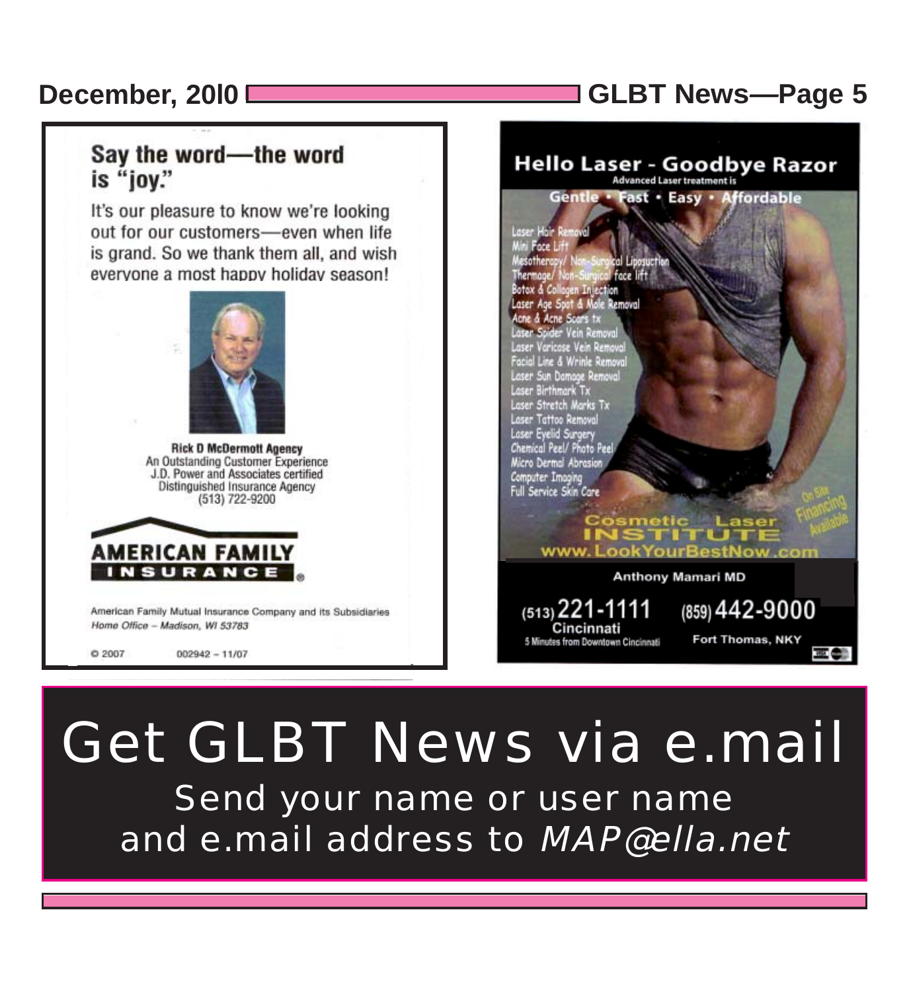## **December, 20l0 GLBT News***—***Page 5**

## Say the word-the word is "joy."

It's our pleasure to know we're looking out for our customers-even when life is grand. So we thank them all, and wish everyone a most happy holiday season!



**Rick D McDermott Agency** An Outstanding Customer Experience J.D. Power and Associates certified Distinguished Insurance Agency (513) 722-9200



American Family Mutual Insurance Company and its Subsidiaries Home Office - Madison, WI 53783

 $Q2007$  $002942 - 11/07$ 

### **Hello Laser - Goodbye Razor Advanced Laser treatment is** Gentle **Fast · Easy · Affordable** Foce L esotheren face lift Thermope/ otox & Collagen Inject potox a Conagen Injection<br>Laser Age Spot & Mole Removal<br>Acne & Acne Scars tx aser Spider Vein Removo Laser Varicose Vein Remov Facial Line & Wrinle Remova Laser Sun Damage Remove<br>Laser Birthmark Tx Laser Stretch Marks Tx Laser Tattoo Removal Laser Eyelid Surgery<br>Chemical Peel/ Photo Peel Micro Dermal Abrasion Computer Imaging<br>Full Service Skin Care etic Laser **THEFT THE** www.LookYourBestNow.com **Anthony Mamari MD**

 $(513)$  221-1111 Cincinnati 5 Minutes from Downtown Cincinnati  $(859)$  442-9000 Fort Thomas, NKY

## Get GLBT News via e.mail Send your name or user name and e.mail address to MAP@ella.net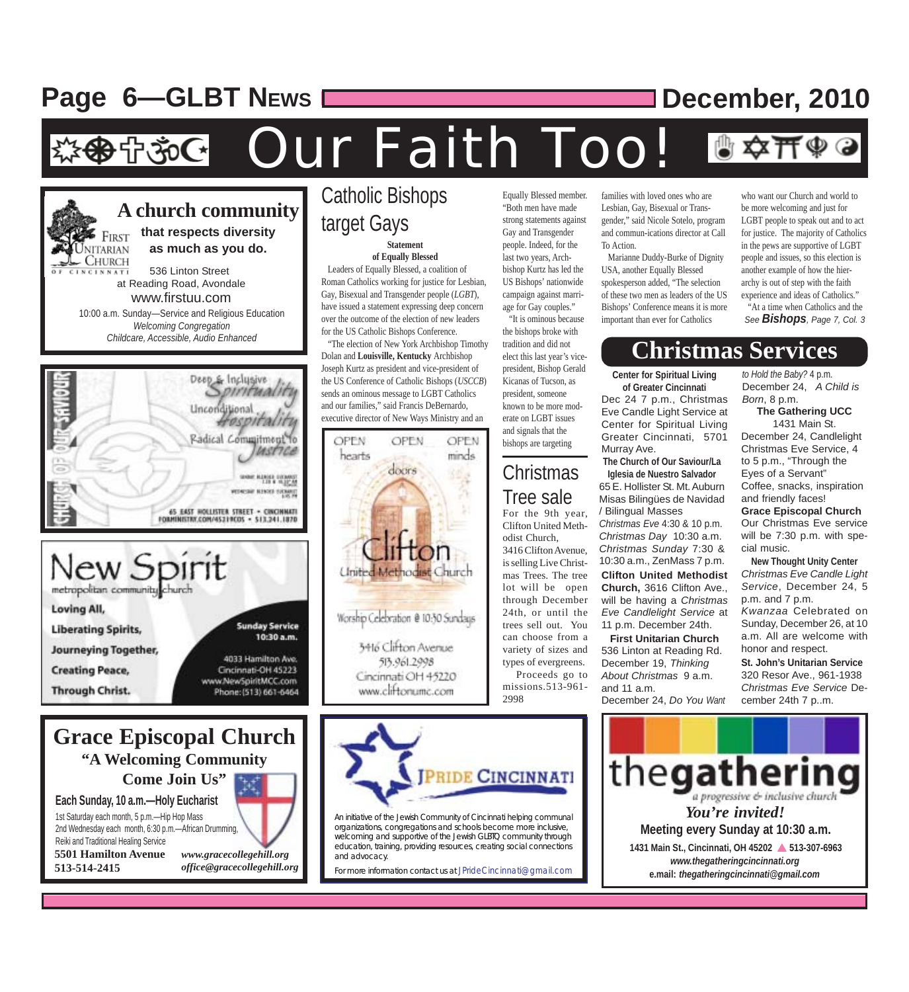## **Page 6-GLBT NEWS December, 2010**

Our Faith Too! · 수 30G



metropolitan community Loving All, **Sunday Service Liberating Spirits, Journeying Together,** 4033 Hamilton Ave. **Creating Peace,** Cincinnati-OH 45223 www.NewSpiritMCC.com Through Christ. Phone: (513) 661-6464

### **Grace Episcopal Church "A Welcoming Community**

**Come Join Us"**

**Each Sunday, 10 a.m.—Holy Eucharist** 1st Saturday each month, 5 p.m.—Hip Hop Mass 2nd Wednesday each month, 6:30 p.m.—African Drumming, Reiki and Traditional Healing Service **5501 Hamilton Avenue 513-514-2415**



10:30 a.m.

*office@gracecollegehill.org*

### **Statement** Catholic Bishops target Gays

#### **of Equally Blessed**

 Leaders of Equally Blessed, a coalition of Roman Catholics working for justice for Lesbian, Gay, Bisexual and Transgender people (*LGBT*), have issued a statement expressing deep concern over the outcome of the election of new leaders for the US Catholic Bishops Conference.

 "The election of New York Archbishop Timothy Dolan and **Louisville, Kentucky** Archbishop Joseph Kurtz as president and vice-president of the US Conference of Catholic Bishops (*USCCB*) sends an ominous message to LGBT Catholics and our families," said Francis DeBernardo, executive director of New Ways Ministry and an



Equally Blessed member. "Both men have made strong statements against Gay and Transgender people. Indeed, for the last two years, Archbishop Kurtz has led the US Bishops' nationwide campaign against marriage for Gay couples." "It is ominous because

the bishops broke with tradition and did not elect this last year's vicepresident, Bishop Gerald Kicanas of Tucson, as president, someone known to be more moderate on LGBT issues and signals that the bishops are targeting

## Christmas

For the 9th year, Clifton United Methodist Church, 3416 Clifton Avenue, is selling Live Christmas Trees. The tree lot will be open through December 24th, or until the trees sell out. You can choose from a variety of sizes and types of evergreens. Proceeds go to missions.513-961- 2998 Tree sale

families with loved ones who are Lesbian, Gay, Bisexual or Transgender," said Nicole Sotelo, program and commun-ications director at Call To Action.

 Marianne Duddy-Burke of Dignity USA, another Equally Blessed spokesperson added, "The selection of these two men as leaders of the US Bishops' Conference means it is more important than ever for Catholics

who want our Church and world to be more welcoming and just for LGBT people to speak out and to act for justice. The majority of Catholics in the pews are supportive of LGBT people and issues, so this election is another example of how the hierarchy is out of step with the faith experience and ideas of Catholics."

 "At a time when Catholics and the *See Bishops, Page 7, Col. 3*

## **Christmas Services**

**Center for Spiritual Living of Greater Cincinnati** Dec 24 7 p.m., Christmas Eve Candle Light Service at Center for Spiritual Living

Greater Cincinnati, 5701 Murray Ave. **The Church of Our Saviour/La Iglesia de Nuestro Salvador**

**Clifton United Methodist Church,** 3616 Clifton Ave., will be having a *Christmas Eve Candlelight Service* at 11 p.m. December 24th. 65 E. Hollister St. Mt. Auburn Misas Bilingües de Navidad / Bilingual Masses *Christmas Eve* 4:30 & 10 p.m. *Christmas Day* 10:30 a.m. *Christmas Sunday* 7:30 & 10:30 a.m., ZenMass 7 p.m.

**First Unitarian Church** 536 Linton at Reading Rd. December 19, *Thinking About Christmas* 9 a.m. and 11 a.m. December 24, *Do You Want* *to Hold the Baby?* 4 p.m. December 24, *A Child is Born*, 8 p.m.

**The Gathering UCC** 1431 Main St. December 24, Candlelight Christmas Eve Service, 4 to 5 p.m., "Through the Eyes of a Servant" Coffee, snacks, inspiration and friendly faces! **Grace Episcopal Church** Our Christmas Eve service

will be 7:30 p.m. with special music. **New Thought Unity Center**

*Christmas Eve Candle Light Service*, December 24, 5 p.m. and 7 p.m. *Kwanzaa* Celebrated on Sunday, December 26, at 10 a.m. All are welcome with honor and respect.

**St. John's Unitarian Service**

320 Resor Ave., 961-1938 *Christmas Eve Service* December 24th 7 p..m.



An initiative of the Jewish Community of Cincinnati helping communal organizations, congregations and schools become more inclusive, welcoming and supportive of the Jewish GLBTQ community through education, training, providing resources, creating social connections and advocacy.

For more information contact us at JPrideCincinnati@gmail.com

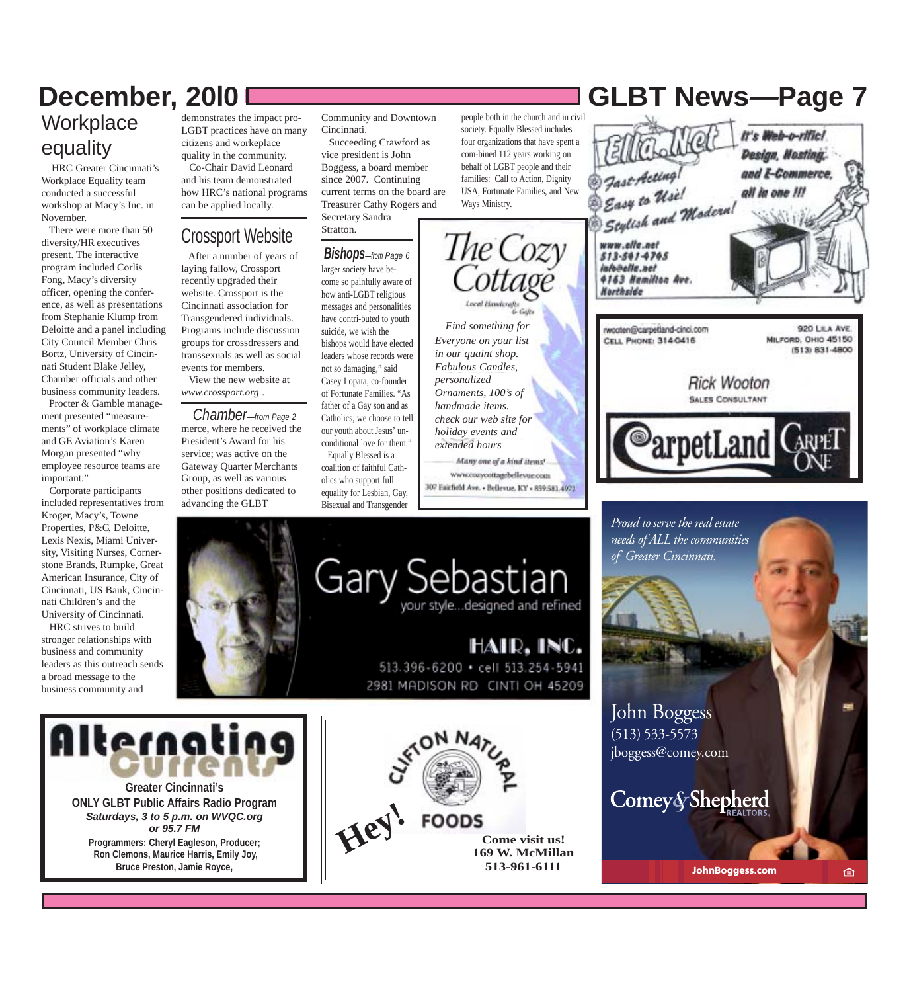## **Workplace** equality

 HRC Greater Cincinnati's Workplace Equality team conducted a successful workshop at Macy's Inc. in November.

 There were more than 50 diversity/HR executives present. The interactive program included Corlis Fong, Macy's diversity officer, opening the conference, as well as presentations from Stephanie Klump from Deloitte and a panel including City Council Member Chris Bortz, University of Cincinnati Student Blake Jelley, Chamber officials and other business community leaders.

 Procter & Gamble management presented "measurements" of workplace climate and GE Aviation's Karen Morgan presented "why employee resource teams are important."

 Corporate participants included representatives from Kroger, Macy's, Towne Properties, P&G, Deloitte, Lexis Nexis, Miami University, Visiting Nurses, Cornerstone Brands, Rumpke, Great American Insurance, City of Cincinnati, US Bank, Cincinnati Children's and the University of Cincinnati.

 HRC strives to build stronger relationships with business and community leaders as this outreach sends a broad message to the business community and

demonstrates the impact pro-LGBT practices have on many citizens and workeplace quality in the community. Co-Chair David Leonard and his team demonstrated

how HRC's national programs can be applied locally.

### Crossport Website

 After a number of years of laying fallow, Crossport recently upgraded their website. Crossport is the Cincinnati association for Transgendered individuals. Programs include discussion groups for crossdressers and transsexuals as well as social events for members. View the new website at

*www.crossport.org* .

merce, where he received the President's Award for his service; was active on the Gateway Quarter Merchants Group, as well as various other positions dedicated to advancing the GLBT *Chamber—from Page 2*



Community and Downtown Cincinnati.

 Succeeding Crawford as vice president is John Boggess, a board member since 2007. Continuing current terms on the board are Treasurer Cathy Rogers and Secretary Sandra

Stratton.

#### *Bishops—from Page 6*

larger society have become so painfully aware of how anti-LGBT religious messages and personalities have contri-buted to youth suicide, we wish the bishops would have elected leaders whose records were not so damaging," said Casey Lopata, co-founder of Fortunate Families. "As father of a Gay son and as Catholics, we choose to tell our youth about Jesus' unconditional love for them." Equally Blessed is a coalition of faithful Catholics who support full equality for Lesbian, Gay,

Bisexual and Transgender

people both in the church and in civil society. Equally Blessed includes four organizations that have spent a com-bined 112 years working on behalf of LGBT people and their families: Call to Action, Dignity USA, Fortunate Families, and New Ways Ministry.

*Everyone on your list in our quaint shop. Fabulous Candles, personalized Ornaments, 100's of handmade items. check our web site for holiday events and extended hours*

Many one of a kind items! www.cozycottagebellevue.com 307 Fairfield Ave. - Bellevue, KY - 859.581.4972



HAIR, INC. 513.396-6200 · cell 513.254-5941 2981 MADISON RD CINTI OH 45209



**Greater Cincinnati's ONLY GLBT Public Affairs Radio Program** *Saturdays, 3 to 5 p.m. on WVQC.org or 95.7 FM* **Programmers: Cheryl Eagleson, Producer; Ron Clemons, Maurice Harris, Emily Joy, Bruce Preston, Jamie Royce,**



## **December, 20l0 GLBT News***—***Page 7**



*needs of ALL the communities of Greater Cincinnati.*

John Boggess (513) 533-5573 jboggess@comey.com

Comey&Shepherd

**JohnBoggess.com**

臼